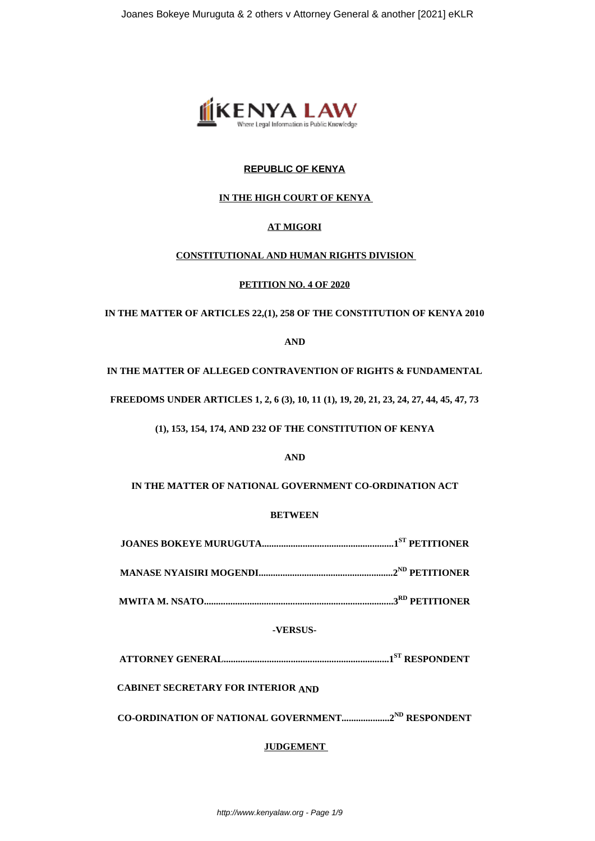

# **REPUBLIC OF KENYA**

## **IN THE HIGH COURT OF KENYA**

### **AT MIGORI**

### **CONSTITUTIONAL AND HUMAN RIGHTS DIVISION**

**PETITION NO. 4 OF 2020**

**IN THE MATTER OF ARTICLES 22,(1), 258 OF THE CONSTITUTION OF KENYA 2010**

**AND**

**IN THE MATTER OF ALLEGED CONTRAVENTION OF RIGHTS & FUNDAMENTAL**

**FREEDOMS UNDER ARTICLES 1, 2, 6 (3), 10, 11 (1), 19, 20, 21, 23, 24, 27, 44, 45, 47, 73**

**(1), 153, 154, 174, AND 232 OF THE CONSTITUTION OF KENYA**

**AND**

**IN THE MATTER OF NATIONAL GOVERNMENT CO-ORDINATION ACT**

### **BETWEEN**

**JOANES BOKEYE MURUGUTA.......................................................1ST PETITIONER**

**MANASE NYAISIRI MOGENDI........................................................2ND PETITIONER**

**MWITA M. NSATO...............................................................................3RD PETITIONER**

# **-VERSUS-**

**ATTORNEY GENERAL.....................................................................1ST RESPONDENT**

**CABINET SECRETARY FOR INTERIOR AND** 

**CO-ORDINATION OF NATIONAL GOVERNMENT....................2ND RESPONDENT**

# **JUDGEMENT**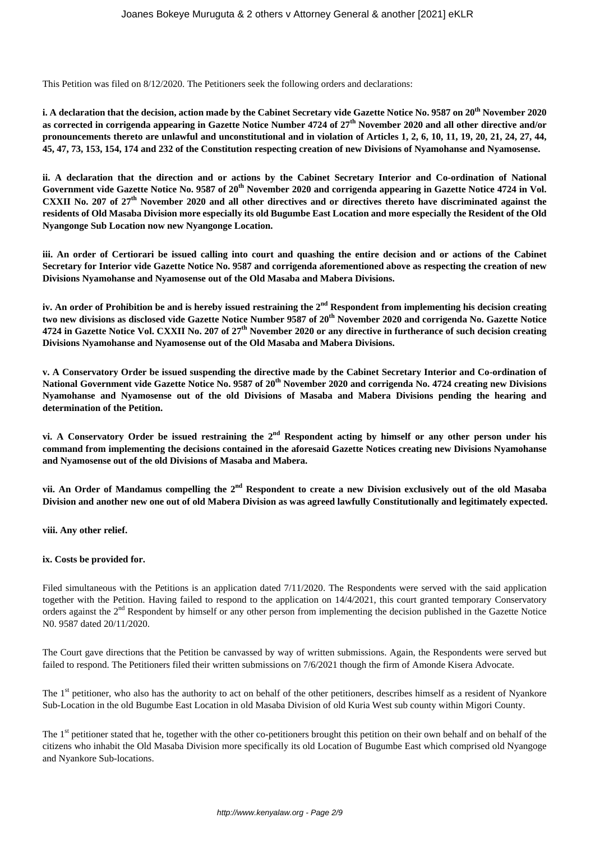This Petition was filed on 8/12/2020. The Petitioners seek the following orders and declarations:

**i. A declaration that the decision, action made by the Cabinet Secretary vide Gazette Notice No. 9587 on 20th November 2020 as corrected in corrigenda appearing in Gazette Notice Number 4724 of 27th November 2020 and all other directive and/or pronouncements thereto are unlawful and unconstitutional and in violation of Articles 1, 2, 6, 10, 11, 19, 20, 21, 24, 27, 44, 45, 47, 73, 153, 154, 174 and 232 of the Constitution respecting creation of new Divisions of Nyamohanse and Nyamosense.** 

**ii. A declaration that the direction and or actions by the Cabinet Secretary Interior and Co-ordination of National Government vide Gazette Notice No. 9587 of 20th November 2020 and corrigenda appearing in Gazette Notice 4724 in Vol. CXXII No. 207 of 27th November 2020 and all other directives and or directives thereto have discriminated against the residents of Old Masaba Division more especially its old Bugumbe East Location and more especially the Resident of the Old Nyangonge Sub Location now new Nyangonge Location.** 

**iii. An order of Certiorari be issued calling into court and quashing the entire decision and or actions of the Cabinet Secretary for Interior vide Gazette Notice No. 9587 and corrigenda aforementioned above as respecting the creation of new Divisions Nyamohanse and Nyamosense out of the Old Masaba and Mabera Divisions.** 

**iv. An order of Prohibition be and is hereby issued restraining the 2nd Respondent from implementing his decision creating two new divisions as disclosed vide Gazette Notice Number 9587 of 20th November 2020 and corrigenda No. Gazette Notice 4724 in Gazette Notice Vol. CXXII No. 207 of 27th November 2020 or any directive in furtherance of such decision creating Divisions Nyamohanse and Nyamosense out of the Old Masaba and Mabera Divisions.**

**v. A Conservatory Order be issued suspending the directive made by the Cabinet Secretary Interior and Co-ordination of National Government vide Gazette Notice No. 9587 of 20th November 2020 and corrigenda No. 4724 creating new Divisions Nyamohanse and Nyamosense out of the old Divisions of Masaba and Mabera Divisions pending the hearing and determination of the Petition.** 

**vi. A Conservatory Order be issued restraining the 2nd Respondent acting by himself or any other person under his command from implementing the decisions contained in the aforesaid Gazette Notices creating new Divisions Nyamohanse and Nyamosense out of the old Divisions of Masaba and Mabera.**

**vii. An Order of Mandamus compelling the 2nd Respondent to create a new Division exclusively out of the old Masaba Division and another new one out of old Mabera Division as was agreed lawfully Constitutionally and legitimately expected.** 

**viii. Any other relief.** 

#### **ix. Costs be provided for.**

Filed simultaneous with the Petitions is an application dated 7/11/2020. The Respondents were served with the said application together with the Petition. Having failed to respond to the application on 14/4/2021, this court granted temporary Conservatory orders against the 2nd Respondent by himself or any other person from implementing the decision published in the Gazette Notice N0. 9587 dated 20/11/2020.

The Court gave directions that the Petition be canvassed by way of written submissions. Again, the Respondents were served but failed to respond. The Petitioners filed their written submissions on 7/6/2021 though the firm of Amonde Kisera Advocate.

The 1<sup>st</sup> petitioner, who also has the authority to act on behalf of the other petitioners, describes himself as a resident of Nyankore Sub-Location in the old Bugumbe East Location in old Masaba Division of old Kuria West sub county within Migori County.

The 1<sup>st</sup> petitioner stated that he, together with the other co-petitioners brought this petition on their own behalf and on behalf of the citizens who inhabit the Old Masaba Division more specifically its old Location of Bugumbe East which comprised old Nyangoge and Nyankore Sub-locations.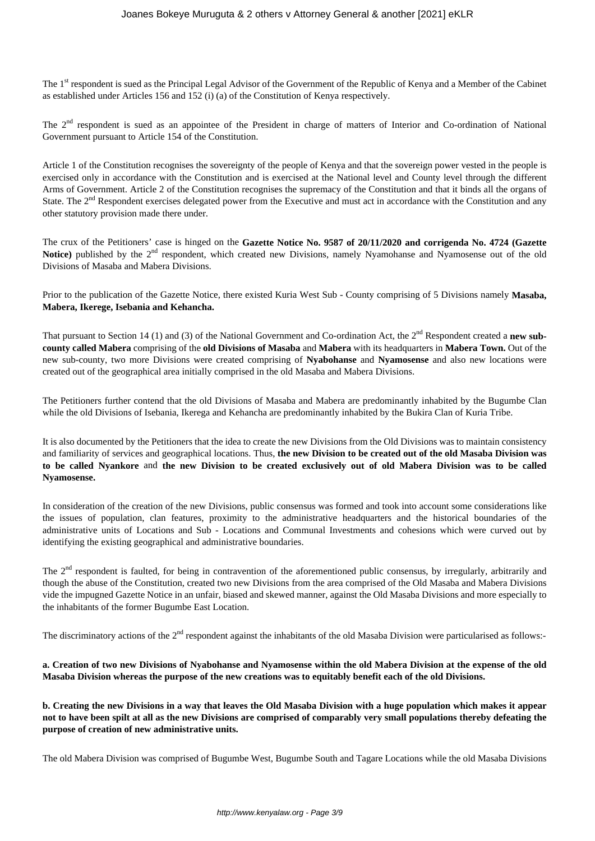The 1<sup>st</sup> respondent is sued as the Principal Legal Advisor of the Government of the Republic of Kenya and a Member of the Cabinet as established under Articles 156 and 152 (i) (a) of the Constitution of Kenya respectively.

The 2<sup>nd</sup> respondent is sued as an appointee of the President in charge of matters of Interior and Co-ordination of National Government pursuant to Article 154 of the Constitution.

Article 1 of the Constitution recognises the sovereignty of the people of Kenya and that the sovereign power vested in the people is exercised only in accordance with the Constitution and is exercised at the National level and County level through the different Arms of Government. Article 2 of the Constitution recognises the supremacy of the Constitution and that it binds all the organs of State. The  $2<sup>nd</sup>$  Respondent exercises delegated power from the Executive and must act in accordance with the Constitution and any other statutory provision made there under.

The crux of the Petitioners' case is hinged on the **Gazette Notice No. 9587 of 20/11/2020 and corrigenda No. 4724 (Gazette** Notice) published by the 2<sup>nd</sup> respondent, which created new Divisions, namely Nyamohanse and Nyamosense out of the old Divisions of Masaba and Mabera Divisions.

Prior to the publication of the Gazette Notice, there existed Kuria West Sub - County comprising of 5 Divisions namely **Masaba, Mabera, Ikerege, Isebania and Kehancha.**

That pursuant to Section 14 (1) and (3) of the National Government and Co-ordination Act, the 2nd Respondent created a **new subcounty called Mabera** comprising of the **old Divisions of Masaba** and **Mabera** with its headquarters in **Mabera Town.** Out of the new sub-county, two more Divisions were created comprising of **Nyabohanse** and **Nyamosense** and also new locations were created out of the geographical area initially comprised in the old Masaba and Mabera Divisions.

The Petitioners further contend that the old Divisions of Masaba and Mabera are predominantly inhabited by the Bugumbe Clan while the old Divisions of Isebania, Ikerega and Kehancha are predominantly inhabited by the Bukira Clan of Kuria Tribe.

It is also documented by the Petitioners that the idea to create the new Divisions from the Old Divisions was to maintain consistency and familiarity of services and geographical locations. Thus, **the new Division to be created out of the old Masaba Division was to be called Nyankore** and **the new Division to be created exclusively out of old Mabera Division was to be called Nyamosense.** 

In consideration of the creation of the new Divisions, public consensus was formed and took into account some considerations like the issues of population, clan features, proximity to the administrative headquarters and the historical boundaries of the administrative units of Locations and Sub - Locations and Communal Investments and cohesions which were curved out by identifying the existing geographical and administrative boundaries.

The 2<sup>nd</sup> respondent is faulted, for being in contravention of the aforementioned public consensus, by irregularly, arbitrarily and though the abuse of the Constitution, created two new Divisions from the area comprised of the Old Masaba and Mabera Divisions vide the impugned Gazette Notice in an unfair, biased and skewed manner, against the Old Masaba Divisions and more especially to the inhabitants of the former Bugumbe East Location.

The discriminatory actions of the 2<sup>nd</sup> respondent against the inhabitants of the old Masaba Division were particularised as follows:-

**a. Creation of two new Divisions of Nyabohanse and Nyamosense within the old Mabera Division at the expense of the old Masaba Division whereas the purpose of the new creations was to equitably benefit each of the old Divisions.**

**b. Creating the new Divisions in a way that leaves the Old Masaba Division with a huge population which makes it appear not to have been spilt at all as the new Divisions are comprised of comparably very small populations thereby defeating the purpose of creation of new administrative units.** 

The old Mabera Division was comprised of Bugumbe West, Bugumbe South and Tagare Locations while the old Masaba Divisions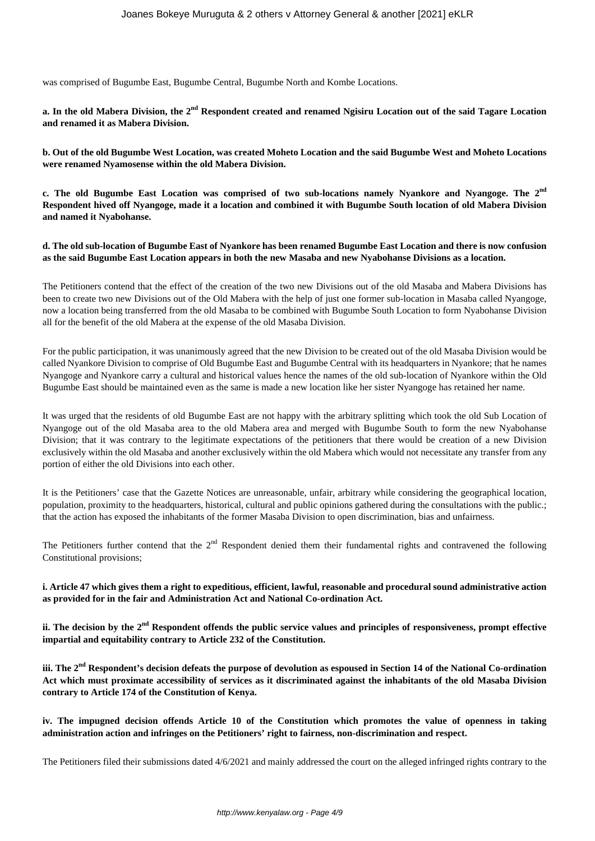was comprised of Bugumbe East, Bugumbe Central, Bugumbe North and Kombe Locations.

**a. In the old Mabera Division, the 2nd Respondent created and renamed Ngisiru Location out of the said Tagare Location and renamed it as Mabera Division.** 

**b. Out of the old Bugumbe West Location, was created Moheto Location and the said Bugumbe West and Moheto Locations were renamed Nyamosense within the old Mabera Division.**

**c. The old Bugumbe East Location was comprised of two sub-locations namely Nyankore and Nyangoge. The 2nd Respondent hived off Nyangoge, made it a location and combined it with Bugumbe South location of old Mabera Division and named it Nyabohanse.**

**d. The old sub-location of Bugumbe East of Nyankore has been renamed Bugumbe East Location and there is now confusion as the said Bugumbe East Location appears in both the new Masaba and new Nyabohanse Divisions as a location.** 

The Petitioners contend that the effect of the creation of the two new Divisions out of the old Masaba and Mabera Divisions has been to create two new Divisions out of the Old Mabera with the help of just one former sub-location in Masaba called Nyangoge, now a location being transferred from the old Masaba to be combined with Bugumbe South Location to form Nyabohanse Division all for the benefit of the old Mabera at the expense of the old Masaba Division.

For the public participation, it was unanimously agreed that the new Division to be created out of the old Masaba Division would be called Nyankore Division to comprise of Old Bugumbe East and Bugumbe Central with its headquarters in Nyankore; that he names Nyangoge and Nyankore carry a cultural and historical values hence the names of the old sub-location of Nyankore within the Old Bugumbe East should be maintained even as the same is made a new location like her sister Nyangoge has retained her name.

It was urged that the residents of old Bugumbe East are not happy with the arbitrary splitting which took the old Sub Location of Nyangoge out of the old Masaba area to the old Mabera area and merged with Bugumbe South to form the new Nyabohanse Division; that it was contrary to the legitimate expectations of the petitioners that there would be creation of a new Division exclusively within the old Masaba and another exclusively within the old Mabera which would not necessitate any transfer from any portion of either the old Divisions into each other.

It is the Petitioners' case that the Gazette Notices are unreasonable, unfair, arbitrary while considering the geographical location, population, proximity to the headquarters, historical, cultural and public opinions gathered during the consultations with the public.; that the action has exposed the inhabitants of the former Masaba Division to open discrimination, bias and unfairness.

The Petitioners further contend that the  $2<sup>nd</sup>$  Respondent denied them their fundamental rights and contravened the following Constitutional provisions;

**i. Article 47 which gives them a right to expeditious, efficient, lawful, reasonable and procedural sound administrative action as provided for in the fair and Administration Act and National Co-ordination Act.** 

**ii. The decision by the 2nd Respondent offends the public service values and principles of responsiveness, prompt effective impartial and equitability contrary to Article 232 of the Constitution.** 

**iii. The 2nd Respondent's decision defeats the purpose of devolution as espoused in Section 14 of the National Co-ordination Act which must proximate accessibility of services as it discriminated against the inhabitants of the old Masaba Division contrary to Article 174 of the Constitution of Kenya.** 

**iv. The impugned decision offends Article 10 of the Constitution which promotes the value of openness in taking administration action and infringes on the Petitioners' right to fairness, non-discrimination and respect.**

The Petitioners filed their submissions dated 4/6/2021 and mainly addressed the court on the alleged infringed rights contrary to the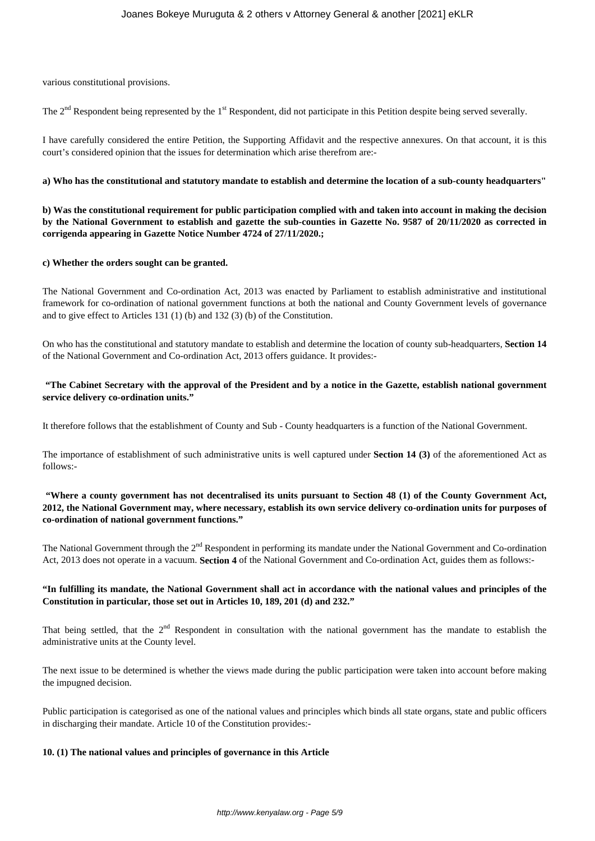various constitutional provisions.

The  $2<sup>nd</sup>$  Respondent being represented by the  $1<sup>st</sup>$  Respondent, did not participate in this Petition despite being served severally.

I have carefully considered the entire Petition, the Supporting Affidavit and the respective annexures. On that account, it is this court's considered opinion that the issues for determination which arise therefrom are:-

#### **a) Who has the constitutional and statutory mandate to establish and determine the location of a sub-county headquarters"**

**b) Was the constitutional requirement for public participation complied with and taken into account in making the decision by the National Government to establish and gazette the sub-counties in Gazette No. 9587 of 20/11/2020 as corrected in corrigenda appearing in Gazette Notice Number 4724 of 27/11/2020.;**

#### **c) Whether the orders sought can be granted.**

The National Government and Co-ordination Act, 2013 was enacted by Parliament to establish administrative and institutional framework for co-ordination of national government functions at both the national and County Government levels of governance and to give effect to Articles 131 (1) (b) and 132 (3) (b) of the Constitution.

On who has the constitutional and statutory mandate to establish and determine the location of county sub-headquarters, **Section 14** of the National Government and Co-ordination Act, 2013 offers guidance. It provides:-

### **"The Cabinet Secretary with the approval of the President and by a notice in the Gazette, establish national government service delivery co-ordination units."**

It therefore follows that the establishment of County and Sub - County headquarters is a function of the National Government.

The importance of establishment of such administrative units is well captured under **Section 14 (3)** of the aforementioned Act as follows:-

### **"Where a county government has not decentralised its units pursuant to Section 48 (1) of the County Government Act, 2012, the National Government may, where necessary, establish its own service delivery co-ordination units for purposes of co-ordination of national government functions."**

The National Government through the 2<sup>nd</sup> Respondent in performing its mandate under the National Government and Co-ordination Act, 2013 does not operate in a vacuum. **Section 4** of the National Government and Co-ordination Act, guides them as follows:-

### **"In fulfilling its mandate, the National Government shall act in accordance with the national values and principles of the Constitution in particular, those set out in Articles 10, 189, 201 (d) and 232."**

That being settled, that the  $2<sup>nd</sup>$  Respondent in consultation with the national government has the mandate to establish the administrative units at the County level.

The next issue to be determined is whether the views made during the public participation were taken into account before making the impugned decision.

Public participation is categorised as one of the national values and principles which binds all state organs, state and public officers in discharging their mandate. Article 10 of the Constitution provides:-

#### **10. (1) The national values and principles of governance in this Article**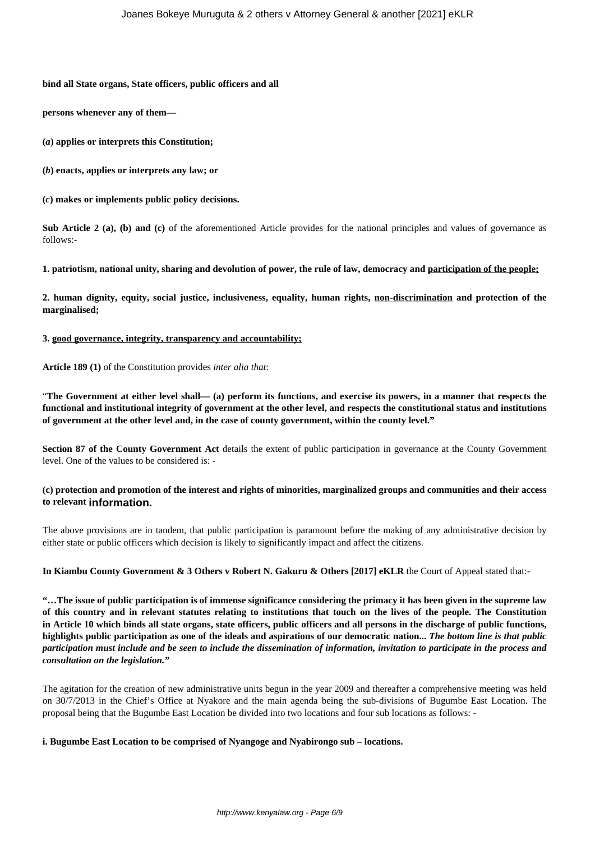#### **bind all State organs, State officers, public officers and all**

**persons whenever any of them—** 

**(***a***) applies or interprets this Constitution;** 

**(***b***) enacts, applies or interprets any law; or** 

**(***c***) makes or implements public policy decisions.**

**Sub Article 2 (a), (b) and (c)** of the aforementioned Article provides for the national principles and values of governance as follows:-

**1. patriotism, national unity, sharing and devolution of power, the rule of law, democracy and participation of the people;**

**2. human dignity, equity, social justice, inclusiveness, equality, human rights, non-discrimination and protection of the marginalised;** 

**3. good governance, integrity, transparency and accountability;**

#### **Article 189 (1)** of the Constitution provides *inter alia that*:

"**The Government at either level shall— (a) perform its functions, and exercise its powers, in a manner that respects the functional and institutional integrity of government at the other level, and respects the constitutional status and institutions of government at the other level and, in the case of county government, within the county level."**

**Section 87 of the County Government Act** details the extent of public participation in governance at the County Government level. One of the values to be considered is: -

### **(c) protection and promotion of the interest and rights of minorities, marginalized groups and communities and their access to relevant information.**

The above provisions are in tandem, that public participation is paramount before the making of any administrative decision by either state or public officers which decision is likely to significantly impact and affect the citizens.

### **In Kiambu County Government & 3 Others v Robert N. Gakuru & Others [2017] eKLR** the Court of Appeal stated that:-

**"…The issue of public participation is of immense significance considering the primacy it has been given in the supreme law of this country and in relevant statutes relating to institutions that touch on the lives of the people. The Constitution in Article 10 which binds all state organs, state officers, public officers and all persons in the discharge of public functions, highlights public participation as one of the ideals and aspirations of our democratic nation...** *The bottom line is that public participation must include and be seen to include the dissemination of information, invitation to participate in the process and consultation on the legislation."*

The agitation for the creation of new administrative units begun in the year 2009 and thereafter a comprehensive meeting was held on 30/7/2013 in the Chief's Office at Nyakore and the main agenda being the sub-divisions of Bugumbe East Location. The proposal being that the Bugumbe East Location be divided into two locations and four sub locations as follows: -

#### **i. Bugumbe East Location to be comprised of Nyangoge and Nyabirongo sub – locations.**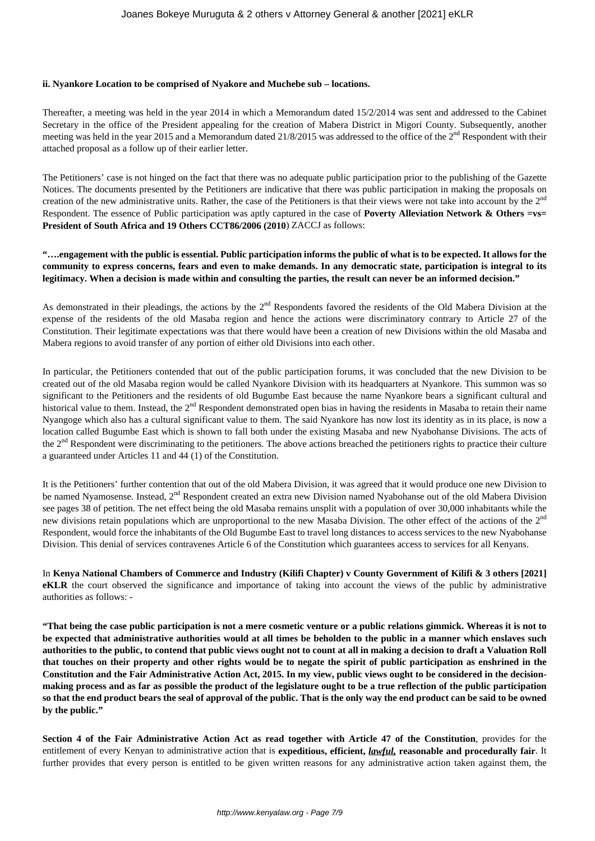#### **ii. Nyankore Location to be comprised of Nyakore and Muchebe sub – locations.**

Thereafter, a meeting was held in the year 2014 in which a Memorandum dated 15/2/2014 was sent and addressed to the Cabinet Secretary in the office of the President appealing for the creation of Mabera District in Migori County. Subsequently, another meeting was held in the year 2015 and a Memorandum dated 21/8/2015 was addressed to the office of the 2<sup>nd</sup> Respondent with their attached proposal as a follow up of their earlier letter.

The Petitioners' case is not hinged on the fact that there was no adequate public participation prior to the publishing of the Gazette Notices. The documents presented by the Petitioners are indicative that there was public participation in making the proposals on creation of the new administrative units. Rather, the case of the Petitioners is that their views were not take into account by the 2<sup>nd</sup> Respondent. The essence of Public participation was aptly captured in the case of **Poverty Alleviation Network & Others =vs= President of South Africa and 19 Others CCT86/2006 (2010**) ZACCJ as follows:

### **"….engagement with the public is essential. Public participation informs the public of what is to be expected. It allows for the community to express concerns, fears and even to make demands. In any democratic state, participation is integral to its legitimacy. When a decision is made within and consulting the parties, the result can never be an informed decision."**

As demonstrated in their pleadings, the actions by the 2<sup>nd</sup> Respondents favored the residents of the Old Mabera Division at the expense of the residents of the old Masaba region and hence the actions were discriminatory contrary to Article 27 of the Constitution. Their legitimate expectations was that there would have been a creation of new Divisions within the old Masaba and Mabera regions to avoid transfer of any portion of either old Divisions into each other.

In particular, the Petitioners contended that out of the public participation forums, it was concluded that the new Division to be created out of the old Masaba region would be called Nyankore Division with its headquarters at Nyankore. This summon was so significant to the Petitioners and the residents of old Bugumbe East because the name Nyankore bears a significant cultural and historical value to them. Instead, the  $2<sup>nd</sup>$  Respondent demonstrated open bias in having the residents in Masaba to retain their name Nyangoge which also has a cultural significant value to them. The said Nyankore has now lost its identity as in its place, is now a location called Bugumbe East which is shown to fall both under the existing Masaba and new Nyabohanse Divisions. The acts of the  $2<sup>nd</sup>$  Respondent were discriminating to the petitioners. The above actions breached the petitioners rights to practice their culture a guaranteed under Articles 11 and 44 (1) of the Constitution.

It is the Petitioners' further contention that out of the old Mabera Division, it was agreed that it would produce one new Division to be named Nyamosense. Instead, 2<sup>nd</sup> Respondent created an extra new Division named Nyabohanse out of the old Mabera Division see pages 38 of petition. The net effect being the old Masaba remains unsplit with a population of over 30,000 inhabitants while the new divisions retain populations which are unproportional to the new Masaba Division. The other effect of the actions of the 2<sup>nd</sup> Respondent, would force the inhabitants of the Old Bugumbe East to travel long distances to access services to the new Nyabohanse Division. This denial of services contravenes Article 6 of the Constitution which guarantees access to services for all Kenyans.

In **Kenya National Chambers of Commerce and Industry (Kilifi Chapter) v County Government of Kilifi & 3 others [2021] eKLR** the court observed the significance and importance of taking into account the views of the public by administrative authorities as follows: -

**"That being the case public participation is not a mere cosmetic venture or a public relations gimmick. Whereas it is not to be expected that administrative authorities would at all times be beholden to the public in a manner which enslaves such authorities to the public, to contend that public views ought not to count at all in making a decision to draft a Valuation Roll that touches on their property and other rights would be to negate the spirit of public participation as enshrined in the Constitution and the Fair Administrative Action Act, 2015. In my view, public views ought to be considered in the decisionmaking process and as far as possible the product of the legislature ought to be a true reflection of the public participation so that the end product bears the seal of approval of the public. That is the only way the end product can be said to be owned by the public."**

**Section 4 of the Fair Administrative Action Act as read together with Article 47 of the Constitution**, provides for the entitlement of every Kenyan to administrative action that is **expeditious, efficient,** *lawful,* **reasonable and procedurally fair**. It further provides that every person is entitled to be given written reasons for any administrative action taken against them, the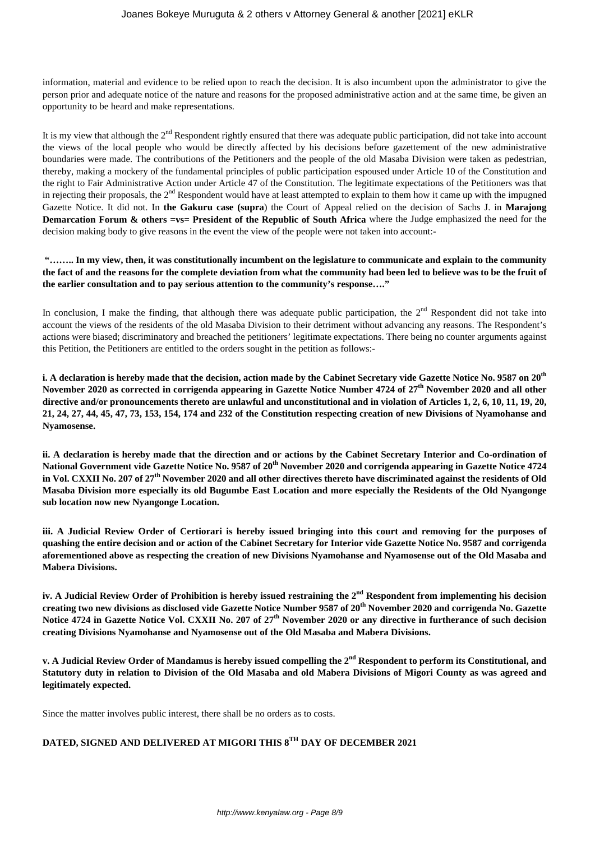information, material and evidence to be relied upon to reach the decision. It is also incumbent upon the administrator to give the person prior and adequate notice of the nature and reasons for the proposed administrative action and at the same time, be given an opportunity to be heard and make representations.

It is my view that although the 2<sup>nd</sup> Respondent rightly ensured that there was adequate public participation, did not take into account the views of the local people who would be directly affected by his decisions before gazettement of the new administrative boundaries were made. The contributions of the Petitioners and the people of the old Masaba Division were taken as pedestrian, thereby, making a mockery of the fundamental principles of public participation espoused under Article 10 of the Constitution and the right to Fair Administrative Action under Article 47 of the Constitution. The legitimate expectations of the Petitioners was that in rejecting their proposals, the  $2<sup>nd</sup>$  Respondent would have at least attempted to explain to them how it came up with the impugned Gazette Notice. It did not. In **the Gakuru case (supra**) the Court of Appeal relied on the decision of Sachs J. in **Marajong Demarcation Forum & others =vs= President of the Republic of South Africa** where the Judge emphasized the need for the decision making body to give reasons in the event the view of the people were not taken into account:-

### **"…….. In my view, then, it was constitutionally incumbent on the legislature to communicate and explain to the community the fact of and the reasons for the complete deviation from what the community had been led to believe was to be the fruit of the earlier consultation and to pay serious attention to the community's response…."**

In conclusion, I make the finding, that although there was adequate public participation, the  $2<sup>nd</sup>$  Respondent did not take into account the views of the residents of the old Masaba Division to their detriment without advancing any reasons. The Respondent's actions were biased; discriminatory and breached the petitioners' legitimate expectations. There being no counter arguments against this Petition, the Petitioners are entitled to the orders sought in the petition as follows:-

**i. A declaration is hereby made that the decision, action made by the Cabinet Secretary vide Gazette Notice No. 9587 on 20th November 2020 as corrected in corrigenda appearing in Gazette Notice Number 4724 of 27th November 2020 and all other directive and/or pronouncements thereto are unlawful and unconstitutional and in violation of Articles 1, 2, 6, 10, 11, 19, 20, 21, 24, 27, 44, 45, 47, 73, 153, 154, 174 and 232 of the Constitution respecting creation of new Divisions of Nyamohanse and Nyamosense.** 

**ii. A declaration is hereby made that the direction and or actions by the Cabinet Secretary Interior and Co-ordination of National Government vide Gazette Notice No. 9587 of 20th November 2020 and corrigenda appearing in Gazette Notice 4724 in Vol. CXXII No. 207 of 27th November 2020 and all other directives thereto have discriminated against the residents of Old Masaba Division more especially its old Bugumbe East Location and more especially the Residents of the Old Nyangonge sub location now new Nyangonge Location.** 

**iii. A Judicial Review Order of Certiorari is hereby issued bringing into this court and removing for the purposes of quashing the entire decision and or action of the Cabinet Secretary for Interior vide Gazette Notice No. 9587 and corrigenda aforementioned above as respecting the creation of new Divisions Nyamohanse and Nyamosense out of the Old Masaba and Mabera Divisions.** 

**iv. A Judicial Review Order of Prohibition is hereby issued restraining the 2nd Respondent from implementing his decision creating two new divisions as disclosed vide Gazette Notice Number 9587 of 20th November 2020 and corrigenda No. Gazette Notice 4724 in Gazette Notice Vol. CXXII No. 207 of 27th November 2020 or any directive in furtherance of such decision creating Divisions Nyamohanse and Nyamosense out of the Old Masaba and Mabera Divisions.**

**v. A Judicial Review Order of Mandamus is hereby issued compelling the 2nd Respondent to perform its Constitutional, and Statutory duty in relation to Division of the Old Masaba and old Mabera Divisions of Migori County as was agreed and legitimately expected.** 

Since the matter involves public interest, there shall be no orders as to costs.

# **DATED, SIGNED AND DELIVERED AT MIGORI THIS 8TH DAY OF DECEMBER 2021**